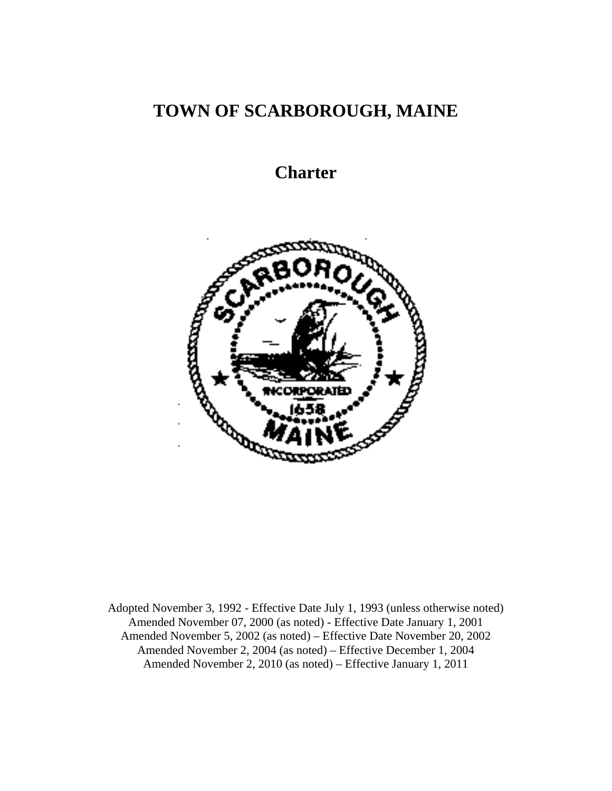# **TOWN OF SCARBOROUGH, MAINE**

# **Charter**



Adopted November 3, 1992 - Effective Date July 1, 1993 (unless otherwise noted) Amended November 07, 2000 (as noted) - Effective Date January 1, 2001 Amended November 5, 2002 (as noted) – Effective Date November 20, 2002 Amended November 2, 2004 (as noted) – Effective December 1, 2004 Amended November 2, 2010 (as noted) – Effective January 1, 2011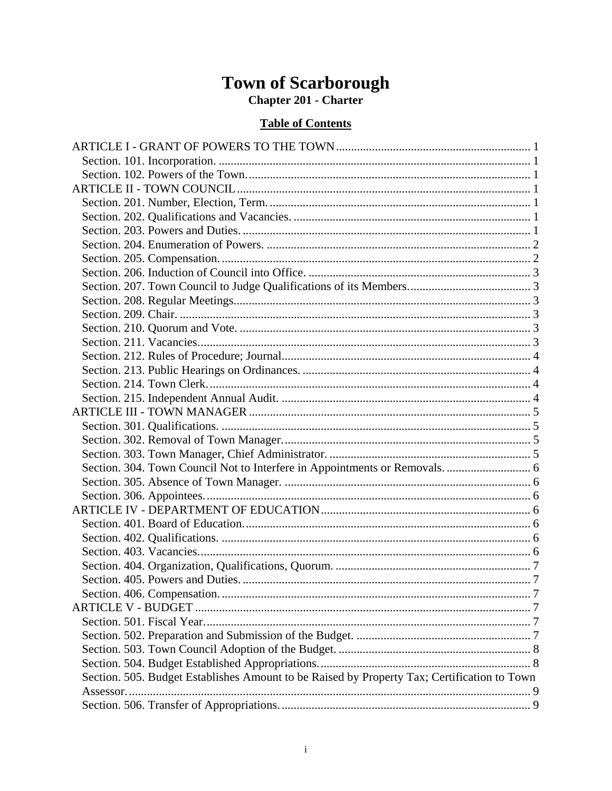# Town of Scarborough<br>Chapter 201 - Charter

# **Table of Contents**

| Section. 505. Budget Establishes Amount to be Raised by Property Tax; Certification to Town |  |
|---------------------------------------------------------------------------------------------|--|
|                                                                                             |  |
|                                                                                             |  |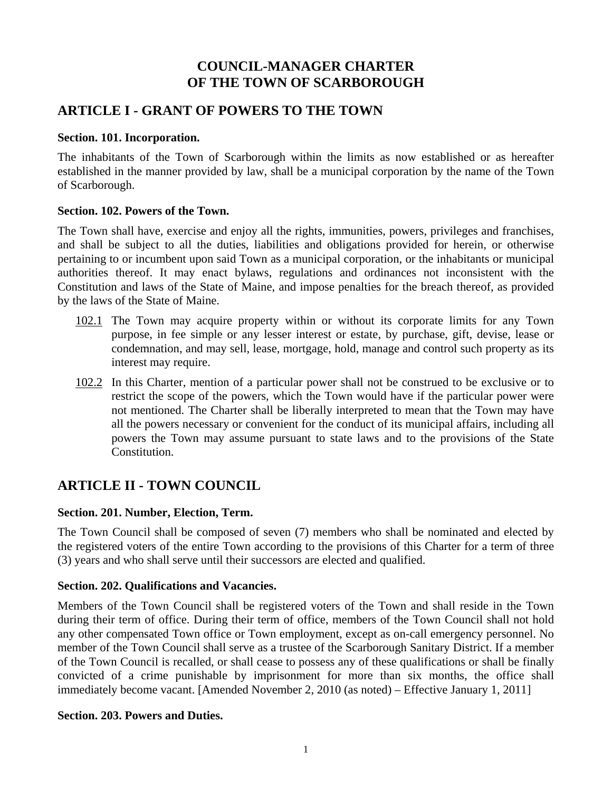# **COUNCIL-MANAGER CHARTER OF THE TOWN OF SCARBOROUGH**

# **ARTICLE I - GRANT OF POWERS TO THE TOWN**

# **Section. 101. Incorporation.**

The inhabitants of the Town of Scarborough within the limits as now established or as hereafter established in the manner provided by law, shall be a municipal corporation by the name of the Town of Scarborough.

# **Section. 102. Powers of the Town.**

The Town shall have, exercise and enjoy all the rights, immunities, powers, privileges and franchises, and shall be subject to all the duties, liabilities and obligations provided for herein, or otherwise pertaining to or incumbent upon said Town as a municipal corporation, or the inhabitants or municipal authorities thereof. It may enact bylaws, regulations and ordinances not inconsistent with the Constitution and laws of the State of Maine, and impose penalties for the breach thereof, as provided by the laws of the State of Maine.

- 102.1 The Town may acquire property within or without its corporate limits for any Town purpose, in fee simple or any lesser interest or estate, by purchase, gift, devise, lease or condemnation, and may sell, lease, mortgage, hold, manage and control such property as its interest may require.
- 102.2 In this Charter, mention of a particular power shall not be construed to be exclusive or to restrict the scope of the powers, which the Town would have if the particular power were not mentioned. The Charter shall be liberally interpreted to mean that the Town may have all the powers necessary or convenient for the conduct of its municipal affairs, including all powers the Town may assume pursuant to state laws and to the provisions of the State Constitution.

# **ARTICLE II - TOWN COUNCIL**

# **Section. 201. Number, Election, Term.**

The Town Council shall be composed of seven (7) members who shall be nominated and elected by the registered voters of the entire Town according to the provisions of this Charter for a term of three (3) years and who shall serve until their successors are elected and qualified.

# **Section. 202. Qualifications and Vacancies.**

Members of the Town Council shall be registered voters of the Town and shall reside in the Town during their term of office. During their term of office, members of the Town Council shall not hold any other compensated Town office or Town employment, except as on-call emergency personnel. No member of the Town Council shall serve as a trustee of the Scarborough Sanitary District. If a member of the Town Council is recalled, or shall cease to possess any of these qualifications or shall be finally convicted of a crime punishable by imprisonment for more than six months, the office shall immediately become vacant. [Amended November 2, 2010 (as noted) – Effective January 1, 2011]

# **Section. 203. Powers and Duties.**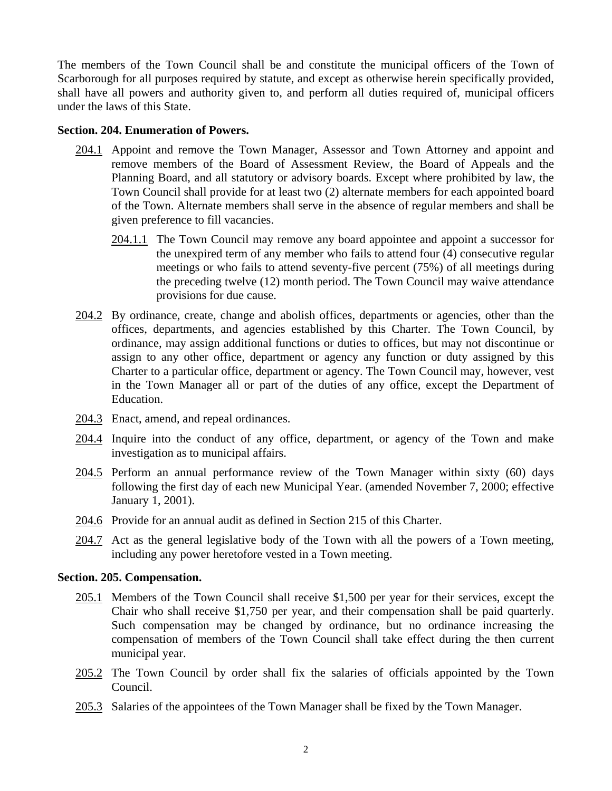The members of the Town Council shall be and constitute the municipal officers of the Town of Scarborough for all purposes required by statute, and except as otherwise herein specifically provided, shall have all powers and authority given to, and perform all duties required of, municipal officers under the laws of this State.

#### **Section. 204. Enumeration of Powers.**

- 204.1 Appoint and remove the Town Manager, Assessor and Town Attorney and appoint and remove members of the Board of Assessment Review, the Board of Appeals and the Planning Board, and all statutory or advisory boards. Except where prohibited by law, the Town Council shall provide for at least two (2) alternate members for each appointed board of the Town. Alternate members shall serve in the absence of regular members and shall be given preference to fill vacancies.
	- 204.1.1 The Town Council may remove any board appointee and appoint a successor for the unexpired term of any member who fails to attend four (4) consecutive regular meetings or who fails to attend seventy-five percent (75%) of all meetings during the preceding twelve (12) month period. The Town Council may waive attendance provisions for due cause.
- 204.2 By ordinance, create, change and abolish offices, departments or agencies, other than the offices, departments, and agencies established by this Charter. The Town Council, by ordinance, may assign additional functions or duties to offices, but may not discontinue or assign to any other office, department or agency any function or duty assigned by this Charter to a particular office, department or agency. The Town Council may, however, vest in the Town Manager all or part of the duties of any office, except the Department of Education.
- 204.3 Enact, amend, and repeal ordinances.
- 204.4 Inquire into the conduct of any office, department, or agency of the Town and make investigation as to municipal affairs.
- 204.5 Perform an annual performance review of the Town Manager within sixty (60) days following the first day of each new Municipal Year. (amended November 7, 2000; effective January 1, 2001).
- 204.6 Provide for an annual audit as defined in Section 215 of this Charter.
- 204.7 Act as the general legislative body of the Town with all the powers of a Town meeting, including any power heretofore vested in a Town meeting.

#### **Section. 205. Compensation.**

- 205.1 Members of the Town Council shall receive \$1,500 per year for their services, except the Chair who shall receive \$1,750 per year, and their compensation shall be paid quarterly. Such compensation may be changed by ordinance, but no ordinance increasing the compensation of members of the Town Council shall take effect during the then current municipal year.
- 205.2 The Town Council by order shall fix the salaries of officials appointed by the Town Council.
- 205.3 Salaries of the appointees of the Town Manager shall be fixed by the Town Manager.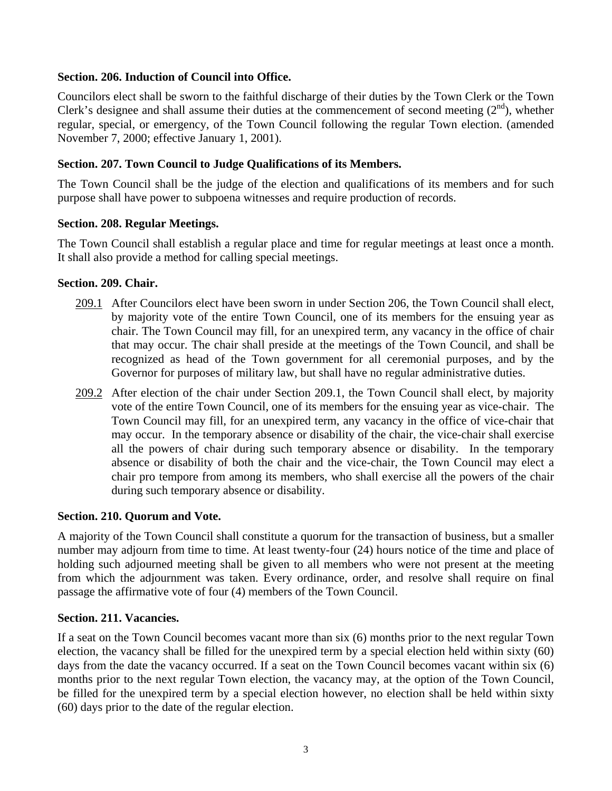## **Section. 206. Induction of Council into Office.**

Councilors elect shall be sworn to the faithful discharge of their duties by the Town Clerk or the Town Clerk's designee and shall assume their duties at the commencement of second meeting  $(2<sup>nd</sup>)$ , whether regular, special, or emergency, of the Town Council following the regular Town election. (amended November 7, 2000; effective January 1, 2001).

# **Section. 207. Town Council to Judge Qualifications of its Members.**

The Town Council shall be the judge of the election and qualifications of its members and for such purpose shall have power to subpoena witnesses and require production of records.

#### **Section. 208. Regular Meetings.**

The Town Council shall establish a regular place and time for regular meetings at least once a month. It shall also provide a method for calling special meetings.

#### **Section. 209. Chair.**

- 209.1 After Councilors elect have been sworn in under Section 206, the Town Council shall elect, by majority vote of the entire Town Council, one of its members for the ensuing year as chair. The Town Council may fill, for an unexpired term, any vacancy in the office of chair that may occur. The chair shall preside at the meetings of the Town Council, and shall be recognized as head of the Town government for all ceremonial purposes, and by the Governor for purposes of military law, but shall have no regular administrative duties.
- 209.2 After election of the chair under Section 209.1, the Town Council shall elect, by majority vote of the entire Town Council, one of its members for the ensuing year as vice-chair. The Town Council may fill, for an unexpired term, any vacancy in the office of vice-chair that may occur. In the temporary absence or disability of the chair, the vice-chair shall exercise all the powers of chair during such temporary absence or disability. In the temporary absence or disability of both the chair and the vice-chair, the Town Council may elect a chair pro tempore from among its members, who shall exercise all the powers of the chair during such temporary absence or disability.

#### **Section. 210. Quorum and Vote.**

A majority of the Town Council shall constitute a quorum for the transaction of business, but a smaller number may adjourn from time to time. At least twenty-four (24) hours notice of the time and place of holding such adjourned meeting shall be given to all members who were not present at the meeting from which the adjournment was taken. Every ordinance, order, and resolve shall require on final passage the affirmative vote of four (4) members of the Town Council.

#### **Section. 211. Vacancies.**

If a seat on the Town Council becomes vacant more than six (6) months prior to the next regular Town election, the vacancy shall be filled for the unexpired term by a special election held within sixty (60) days from the date the vacancy occurred. If a seat on the Town Council becomes vacant within six (6) months prior to the next regular Town election, the vacancy may, at the option of the Town Council, be filled for the unexpired term by a special election however, no election shall be held within sixty (60) days prior to the date of the regular election.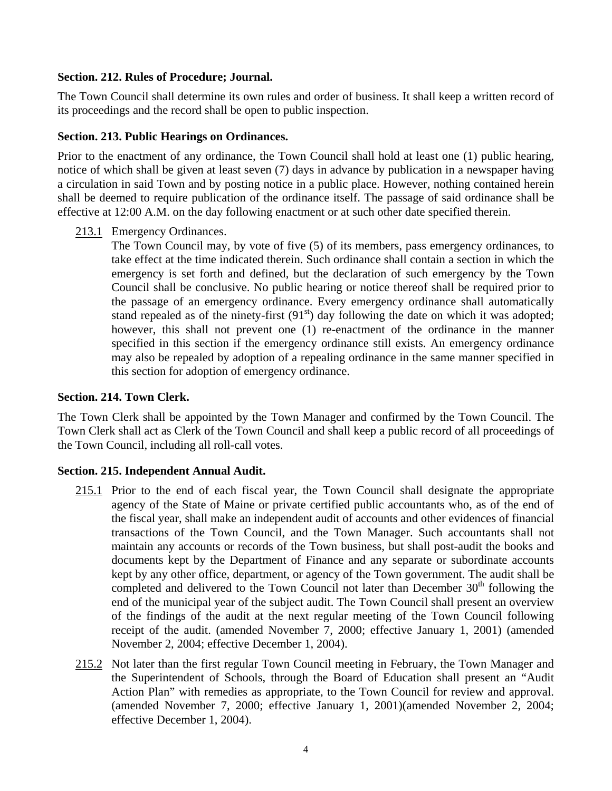## **Section. 212. Rules of Procedure; Journal.**

The Town Council shall determine its own rules and order of business. It shall keep a written record of its proceedings and the record shall be open to public inspection.

## **Section. 213. Public Hearings on Ordinances.**

Prior to the enactment of any ordinance, the Town Council shall hold at least one (1) public hearing, notice of which shall be given at least seven (7) days in advance by publication in a newspaper having a circulation in said Town and by posting notice in a public place. However, nothing contained herein shall be deemed to require publication of the ordinance itself. The passage of said ordinance shall be effective at 12:00 A.M. on the day following enactment or at such other date specified therein.

213.1 Emergency Ordinances.

The Town Council may, by vote of five (5) of its members, pass emergency ordinances, to take effect at the time indicated therein. Such ordinance shall contain a section in which the emergency is set forth and defined, but the declaration of such emergency by the Town Council shall be conclusive. No public hearing or notice thereof shall be required prior to the passage of an emergency ordinance. Every emergency ordinance shall automatically stand repealed as of the ninety-first  $(91<sup>st</sup>)$  day following the date on which it was adopted; however, this shall not prevent one (1) re-enactment of the ordinance in the manner specified in this section if the emergency ordinance still exists. An emergency ordinance may also be repealed by adoption of a repealing ordinance in the same manner specified in this section for adoption of emergency ordinance.

### **Section. 214. Town Clerk.**

The Town Clerk shall be appointed by the Town Manager and confirmed by the Town Council. The Town Clerk shall act as Clerk of the Town Council and shall keep a public record of all proceedings of the Town Council, including all roll-call votes.

# **Section. 215. Independent Annual Audit.**

- 215.1 Prior to the end of each fiscal year, the Town Council shall designate the appropriate agency of the State of Maine or private certified public accountants who, as of the end of the fiscal year, shall make an independent audit of accounts and other evidences of financial transactions of the Town Council, and the Town Manager. Such accountants shall not maintain any accounts or records of the Town business, but shall post-audit the books and documents kept by the Department of Finance and any separate or subordinate accounts kept by any other office, department, or agency of the Town government. The audit shall be completed and delivered to the Town Council not later than December  $30<sup>th</sup>$  following the end of the municipal year of the subject audit. The Town Council shall present an overview of the findings of the audit at the next regular meeting of the Town Council following receipt of the audit. (amended November 7, 2000; effective January 1, 2001) (amended November 2, 2004; effective December 1, 2004).
- 215.2 Not later than the first regular Town Council meeting in February, the Town Manager and the Superintendent of Schools, through the Board of Education shall present an "Audit Action Plan" with remedies as appropriate, to the Town Council for review and approval. (amended November 7, 2000; effective January 1, 2001)(amended November 2, 2004; effective December 1, 2004).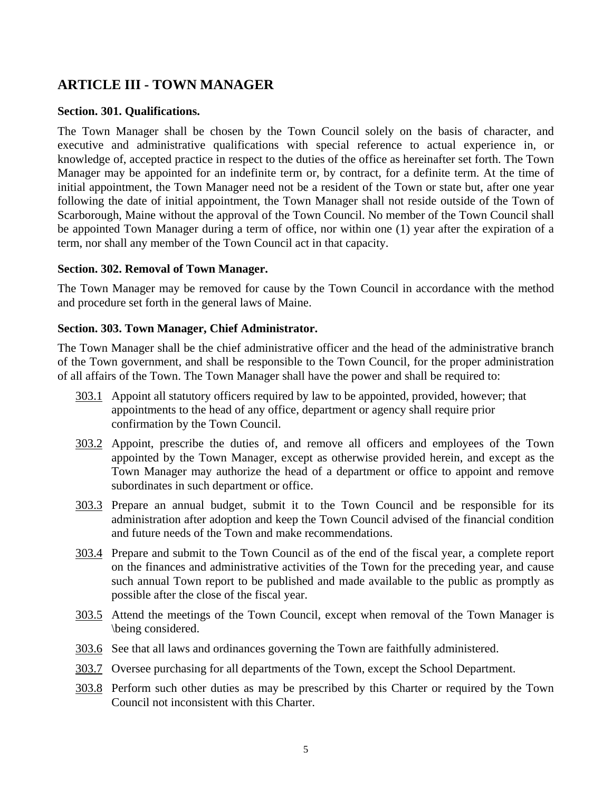# **ARTICLE III - TOWN MANAGER**

#### **Section. 301. Qualifications.**

The Town Manager shall be chosen by the Town Council solely on the basis of character, and executive and administrative qualifications with special reference to actual experience in, or knowledge of, accepted practice in respect to the duties of the office as hereinafter set forth. The Town Manager may be appointed for an indefinite term or, by contract, for a definite term. At the time of initial appointment, the Town Manager need not be a resident of the Town or state but, after one year following the date of initial appointment, the Town Manager shall not reside outside of the Town of Scarborough, Maine without the approval of the Town Council. No member of the Town Council shall be appointed Town Manager during a term of office, nor within one (1) year after the expiration of a term, nor shall any member of the Town Council act in that capacity.

#### **Section. 302. Removal of Town Manager.**

The Town Manager may be removed for cause by the Town Council in accordance with the method and procedure set forth in the general laws of Maine.

#### **Section. 303. Town Manager, Chief Administrator.**

The Town Manager shall be the chief administrative officer and the head of the administrative branch of the Town government, and shall be responsible to the Town Council, for the proper administration of all affairs of the Town. The Town Manager shall have the power and shall be required to:

- 303.1 Appoint all statutory officers required by law to be appointed, provided, however; that appointments to the head of any office, department or agency shall require prior confirmation by the Town Council.
- 303.2 Appoint, prescribe the duties of, and remove all officers and employees of the Town appointed by the Town Manager, except as otherwise provided herein, and except as the Town Manager may authorize the head of a department or office to appoint and remove subordinates in such department or office.
- 303.3 Prepare an annual budget, submit it to the Town Council and be responsible for its administration after adoption and keep the Town Council advised of the financial condition and future needs of the Town and make recommendations.
- 303.4 Prepare and submit to the Town Council as of the end of the fiscal year, a complete report on the finances and administrative activities of the Town for the preceding year, and cause such annual Town report to be published and made available to the public as promptly as possible after the close of the fiscal year.
- 303.5 Attend the meetings of the Town Council, except when removal of the Town Manager is \being considered.
- 303.6 See that all laws and ordinances governing the Town are faithfully administered.
- 303.7 Oversee purchasing for all departments of the Town, except the School Department.
- 303.8 Perform such other duties as may be prescribed by this Charter or required by the Town Council not inconsistent with this Charter.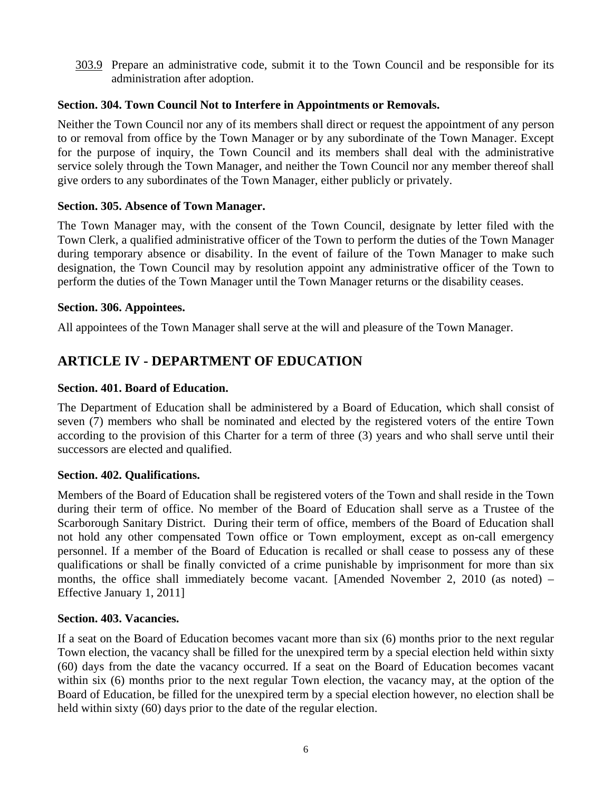303.9 Prepare an administrative code, submit it to the Town Council and be responsible for its administration after adoption.

# **Section. 304. Town Council Not to Interfere in Appointments or Removals.**

Neither the Town Council nor any of its members shall direct or request the appointment of any person to or removal from office by the Town Manager or by any subordinate of the Town Manager. Except for the purpose of inquiry, the Town Council and its members shall deal with the administrative service solely through the Town Manager, and neither the Town Council nor any member thereof shall give orders to any subordinates of the Town Manager, either publicly or privately.

## **Section. 305. Absence of Town Manager.**

The Town Manager may, with the consent of the Town Council, designate by letter filed with the Town Clerk, a qualified administrative officer of the Town to perform the duties of the Town Manager during temporary absence or disability. In the event of failure of the Town Manager to make such designation, the Town Council may by resolution appoint any administrative officer of the Town to perform the duties of the Town Manager until the Town Manager returns or the disability ceases.

## **Section. 306. Appointees.**

All appointees of the Town Manager shall serve at the will and pleasure of the Town Manager.

# **ARTICLE IV - DEPARTMENT OF EDUCATION**

## **Section. 401. Board of Education.**

The Department of Education shall be administered by a Board of Education, which shall consist of seven (7) members who shall be nominated and elected by the registered voters of the entire Town according to the provision of this Charter for a term of three (3) years and who shall serve until their successors are elected and qualified.

#### **Section. 402. Qualifications.**

Members of the Board of Education shall be registered voters of the Town and shall reside in the Town during their term of office. No member of the Board of Education shall serve as a Trustee of the Scarborough Sanitary District. During their term of office, members of the Board of Education shall not hold any other compensated Town office or Town employment, except as on-call emergency personnel. If a member of the Board of Education is recalled or shall cease to possess any of these qualifications or shall be finally convicted of a crime punishable by imprisonment for more than six months, the office shall immediately become vacant. [Amended November 2, 2010 (as noted) – Effective January 1, 2011]

#### **Section. 403. Vacancies.**

If a seat on the Board of Education becomes vacant more than six (6) months prior to the next regular Town election, the vacancy shall be filled for the unexpired term by a special election held within sixty (60) days from the date the vacancy occurred. If a seat on the Board of Education becomes vacant within six (6) months prior to the next regular Town election, the vacancy may, at the option of the Board of Education, be filled for the unexpired term by a special election however, no election shall be held within sixty (60) days prior to the date of the regular election.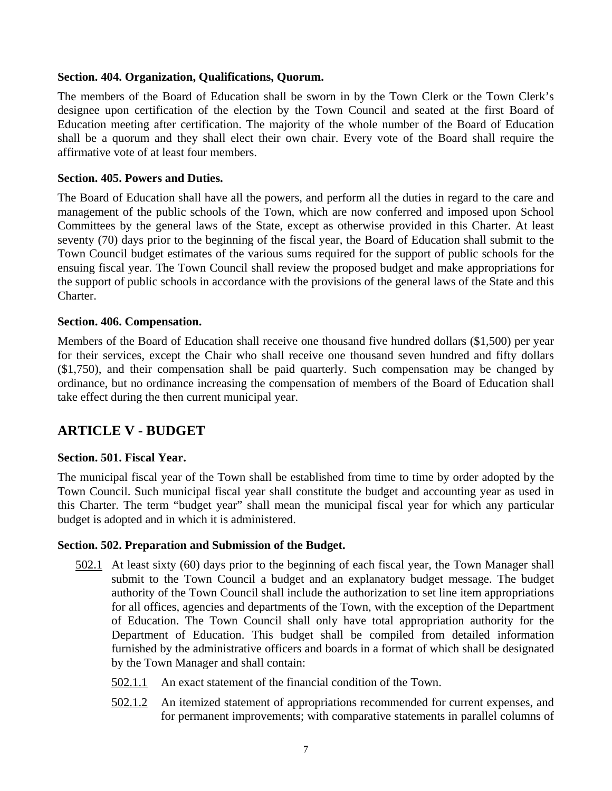#### **Section. 404. Organization, Qualifications, Quorum.**

The members of the Board of Education shall be sworn in by the Town Clerk or the Town Clerk's designee upon certification of the election by the Town Council and seated at the first Board of Education meeting after certification. The majority of the whole number of the Board of Education shall be a quorum and they shall elect their own chair. Every vote of the Board shall require the affirmative vote of at least four members.

## **Section. 405. Powers and Duties.**

The Board of Education shall have all the powers, and perform all the duties in regard to the care and management of the public schools of the Town, which are now conferred and imposed upon School Committees by the general laws of the State, except as otherwise provided in this Charter. At least seventy (70) days prior to the beginning of the fiscal year, the Board of Education shall submit to the Town Council budget estimates of the various sums required for the support of public schools for the ensuing fiscal year. The Town Council shall review the proposed budget and make appropriations for the support of public schools in accordance with the provisions of the general laws of the State and this Charter.

## **Section. 406. Compensation.**

Members of the Board of Education shall receive one thousand five hundred dollars (\$1,500) per year for their services, except the Chair who shall receive one thousand seven hundred and fifty dollars (\$1,750), and their compensation shall be paid quarterly. Such compensation may be changed by ordinance, but no ordinance increasing the compensation of members of the Board of Education shall take effect during the then current municipal year.

# **ARTICLE V - BUDGET**

# **Section. 501. Fiscal Year.**

The municipal fiscal year of the Town shall be established from time to time by order adopted by the Town Council. Such municipal fiscal year shall constitute the budget and accounting year as used in this Charter. The term "budget year" shall mean the municipal fiscal year for which any particular budget is adopted and in which it is administered.

#### **Section. 502. Preparation and Submission of the Budget.**

- 502.1 At least sixty (60) days prior to the beginning of each fiscal year, the Town Manager shall submit to the Town Council a budget and an explanatory budget message. The budget authority of the Town Council shall include the authorization to set line item appropriations for all offices, agencies and departments of the Town, with the exception of the Department of Education. The Town Council shall only have total appropriation authority for the Department of Education. This budget shall be compiled from detailed information furnished by the administrative officers and boards in a format of which shall be designated by the Town Manager and shall contain:
	- 502.1.1 An exact statement of the financial condition of the Town.
	- 502.1.2 An itemized statement of appropriations recommended for current expenses, and for permanent improvements; with comparative statements in parallel columns of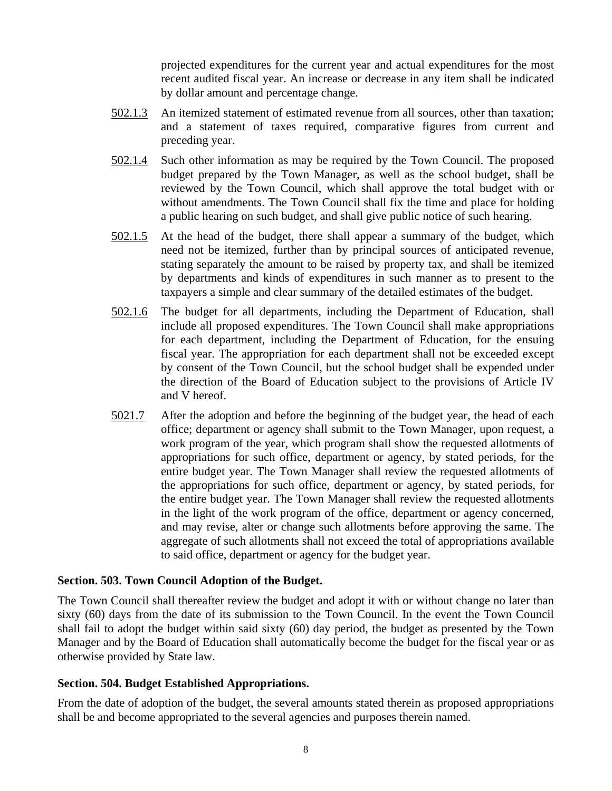projected expenditures for the current year and actual expenditures for the most recent audited fiscal year. An increase or decrease in any item shall be indicated by dollar amount and percentage change.

- 502.1.3 An itemized statement of estimated revenue from all sources, other than taxation; and a statement of taxes required, comparative figures from current and preceding year.
- 502.1.4 Such other information as may be required by the Town Council. The proposed budget prepared by the Town Manager, as well as the school budget, shall be reviewed by the Town Council, which shall approve the total budget with or without amendments. The Town Council shall fix the time and place for holding a public hearing on such budget, and shall give public notice of such hearing.
- 502.1.5 At the head of the budget, there shall appear a summary of the budget, which need not be itemized, further than by principal sources of anticipated revenue, stating separately the amount to be raised by property tax, and shall be itemized by departments and kinds of expenditures in such manner as to present to the taxpayers a simple and clear summary of the detailed estimates of the budget.
- 502.1.6 The budget for all departments, including the Department of Education, shall include all proposed expenditures. The Town Council shall make appropriations for each department, including the Department of Education, for the ensuing fiscal year. The appropriation for each department shall not be exceeded except by consent of the Town Council, but the school budget shall be expended under the direction of the Board of Education subject to the provisions of Article IV and V hereof.
- 5021.7 After the adoption and before the beginning of the budget year, the head of each office; department or agency shall submit to the Town Manager, upon request, a work program of the year, which program shall show the requested allotments of appropriations for such office, department or agency, by stated periods, for the entire budget year. The Town Manager shall review the requested allotments of the appropriations for such office, department or agency, by stated periods, for the entire budget year. The Town Manager shall review the requested allotments in the light of the work program of the office, department or agency concerned, and may revise, alter or change such allotments before approving the same. The aggregate of such allotments shall not exceed the total of appropriations available to said office, department or agency for the budget year.

#### **Section. 503. Town Council Adoption of the Budget.**

The Town Council shall thereafter review the budget and adopt it with or without change no later than sixty (60) days from the date of its submission to the Town Council. In the event the Town Council shall fail to adopt the budget within said sixty (60) day period, the budget as presented by the Town Manager and by the Board of Education shall automatically become the budget for the fiscal year or as otherwise provided by State law.

# **Section. 504. Budget Established Appropriations.**

From the date of adoption of the budget, the several amounts stated therein as proposed appropriations shall be and become appropriated to the several agencies and purposes therein named.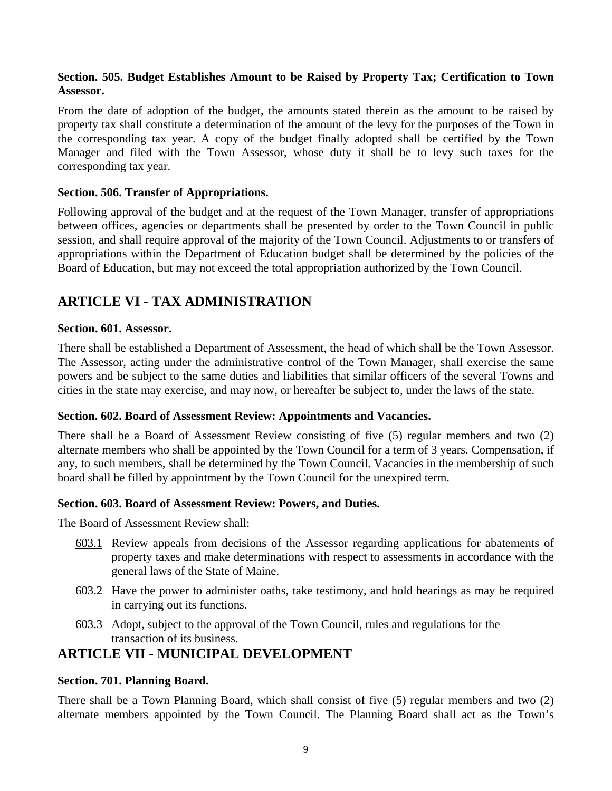# **Section. 505. Budget Establishes Amount to be Raised by Property Tax; Certification to Town Assessor.**

From the date of adoption of the budget, the amounts stated therein as the amount to be raised by property tax shall constitute a determination of the amount of the levy for the purposes of the Town in the corresponding tax year. A copy of the budget finally adopted shall be certified by the Town Manager and filed with the Town Assessor, whose duty it shall be to levy such taxes for the corresponding tax year.

# **Section. 506. Transfer of Appropriations.**

Following approval of the budget and at the request of the Town Manager, transfer of appropriations between offices, agencies or departments shall be presented by order to the Town Council in public session, and shall require approval of the majority of the Town Council. Adjustments to or transfers of appropriations within the Department of Education budget shall be determined by the policies of the Board of Education, but may not exceed the total appropriation authorized by the Town Council.

# **ARTICLE VI - TAX ADMINISTRATION**

## **Section. 601. Assessor.**

There shall be established a Department of Assessment, the head of which shall be the Town Assessor. The Assessor, acting under the administrative control of the Town Manager, shall exercise the same powers and be subject to the same duties and liabilities that similar officers of the several Towns and cities in the state may exercise, and may now, or hereafter be subject to, under the laws of the state.

#### **Section. 602. Board of Assessment Review: Appointments and Vacancies.**

There shall be a Board of Assessment Review consisting of five (5) regular members and two (2) alternate members who shall be appointed by the Town Council for a term of 3 years. Compensation, if any, to such members, shall be determined by the Town Council. Vacancies in the membership of such board shall be filled by appointment by the Town Council for the unexpired term.

#### **Section. 603. Board of Assessment Review: Powers, and Duties.**

The Board of Assessment Review shall:

- 603.1 Review appeals from decisions of the Assessor regarding applications for abatements of property taxes and make determinations with respect to assessments in accordance with the general laws of the State of Maine.
- 603.2 Have the power to administer oaths, take testimony, and hold hearings as may be required in carrying out its functions.
- 603.3 Adopt, subject to the approval of the Town Council, rules and regulations for the transaction of its business.

# **ARTICLE VII - MUNICIPAL DEVELOPMENT**

# **Section. 701. Planning Board.**

There shall be a Town Planning Board, which shall consist of five (5) regular members and two (2) alternate members appointed by the Town Council. The Planning Board shall act as the Town's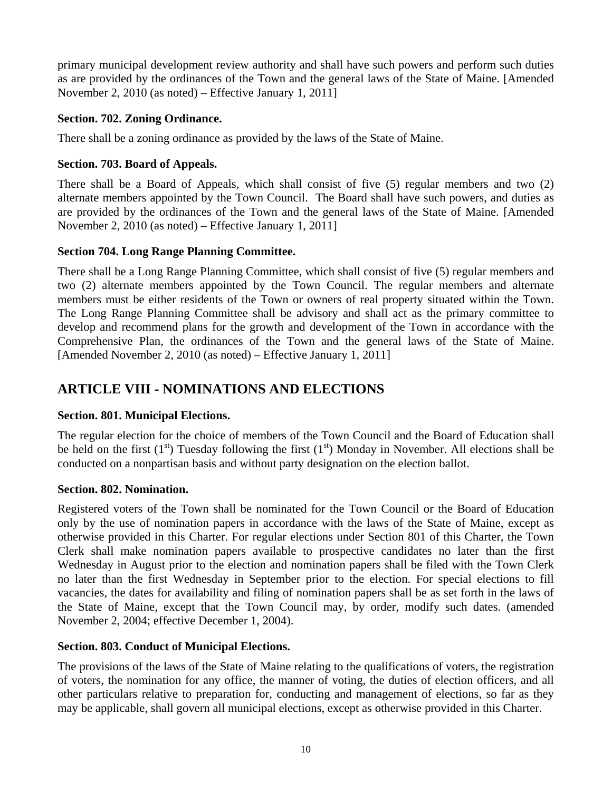primary municipal development review authority and shall have such powers and perform such duties as are provided by the ordinances of the Town and the general laws of the State of Maine. [Amended November 2, 2010 (as noted) – Effective January 1, 2011]

# **Section. 702. Zoning Ordinance.**

There shall be a zoning ordinance as provided by the laws of the State of Maine.

# **Section. 703. Board of Appeals.**

There shall be a Board of Appeals, which shall consist of five (5) regular members and two (2) alternate members appointed by the Town Council. The Board shall have such powers, and duties as are provided by the ordinances of the Town and the general laws of the State of Maine. [Amended November 2, 2010 (as noted) – Effective January 1, 2011]

# **Section 704. Long Range Planning Committee.**

There shall be a Long Range Planning Committee, which shall consist of five (5) regular members and two (2) alternate members appointed by the Town Council. The regular members and alternate members must be either residents of the Town or owners of real property situated within the Town. The Long Range Planning Committee shall be advisory and shall act as the primary committee to develop and recommend plans for the growth and development of the Town in accordance with the Comprehensive Plan, the ordinances of the Town and the general laws of the State of Maine. [Amended November 2, 2010 (as noted) – Effective January 1, 2011]

# **ARTICLE VIII - NOMINATIONS AND ELECTIONS**

# **Section. 801. Municipal Elections.**

The regular election for the choice of members of the Town Council and the Board of Education shall be held on the first  $(1<sup>st</sup>)$  Tuesday following the first  $(1<sup>st</sup>)$  Monday in November. All elections shall be conducted on a nonpartisan basis and without party designation on the election ballot.

# **Section. 802. Nomination.**

Registered voters of the Town shall be nominated for the Town Council or the Board of Education only by the use of nomination papers in accordance with the laws of the State of Maine, except as otherwise provided in this Charter. For regular elections under Section 801 of this Charter, the Town Clerk shall make nomination papers available to prospective candidates no later than the first Wednesday in August prior to the election and nomination papers shall be filed with the Town Clerk no later than the first Wednesday in September prior to the election. For special elections to fill vacancies, the dates for availability and filing of nomination papers shall be as set forth in the laws of the State of Maine, except that the Town Council may, by order, modify such dates. (amended November 2, 2004; effective December 1, 2004).

# **Section. 803. Conduct of Municipal Elections.**

The provisions of the laws of the State of Maine relating to the qualifications of voters, the registration of voters, the nomination for any office, the manner of voting, the duties of election officers, and all other particulars relative to preparation for, conducting and management of elections, so far as they may be applicable, shall govern all municipal elections, except as otherwise provided in this Charter.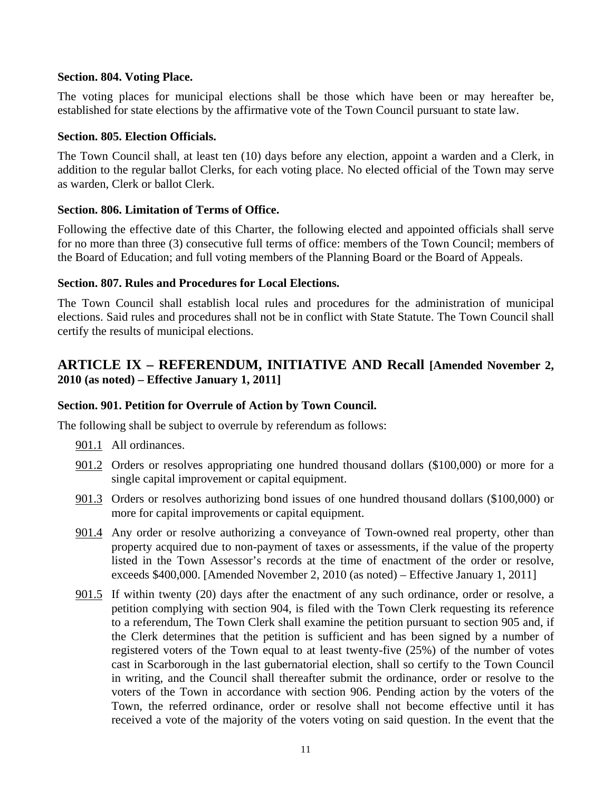#### **Section. 804. Voting Place.**

The voting places for municipal elections shall be those which have been or may hereafter be, established for state elections by the affirmative vote of the Town Council pursuant to state law.

#### **Section. 805. Election Officials.**

The Town Council shall, at least ten (10) days before any election, appoint a warden and a Clerk, in addition to the regular ballot Clerks, for each voting place. No elected official of the Town may serve as warden, Clerk or ballot Clerk.

#### **Section. 806. Limitation of Terms of Office.**

Following the effective date of this Charter, the following elected and appointed officials shall serve for no more than three (3) consecutive full terms of office: members of the Town Council; members of the Board of Education; and full voting members of the Planning Board or the Board of Appeals.

#### **Section. 807. Rules and Procedures for Local Elections.**

The Town Council shall establish local rules and procedures for the administration of municipal elections. Said rules and procedures shall not be in conflict with State Statute. The Town Council shall certify the results of municipal elections.

# **ARTICLE IX – REFERENDUM, INITIATIVE AND Recall [Amended November 2, 2010 (as noted) – Effective January 1, 2011]**

#### **Section. 901. Petition for Overrule of Action by Town Council.**

The following shall be subject to overrule by referendum as follows:

- 901.1 All ordinances.
- 901.2 Orders or resolves appropriating one hundred thousand dollars (\$100,000) or more for a single capital improvement or capital equipment.
- 901.3 Orders or resolves authorizing bond issues of one hundred thousand dollars (\$100,000) or more for capital improvements or capital equipment.
- 901.4 Any order or resolve authorizing a conveyance of Town-owned real property, other than property acquired due to non-payment of taxes or assessments, if the value of the property listed in the Town Assessor's records at the time of enactment of the order or resolve, exceeds \$400,000. [Amended November 2, 2010 (as noted) – Effective January 1, 2011]
- 901.5 If within twenty (20) days after the enactment of any such ordinance, order or resolve, a petition complying with section 904, is filed with the Town Clerk requesting its reference to a referendum, The Town Clerk shall examine the petition pursuant to section 905 and, if the Clerk determines that the petition is sufficient and has been signed by a number of registered voters of the Town equal to at least twenty-five (25%) of the number of votes cast in Scarborough in the last gubernatorial election, shall so certify to the Town Council in writing, and the Council shall thereafter submit the ordinance, order or resolve to the voters of the Town in accordance with section 906. Pending action by the voters of the Town, the referred ordinance, order or resolve shall not become effective until it has received a vote of the majority of the voters voting on said question. In the event that the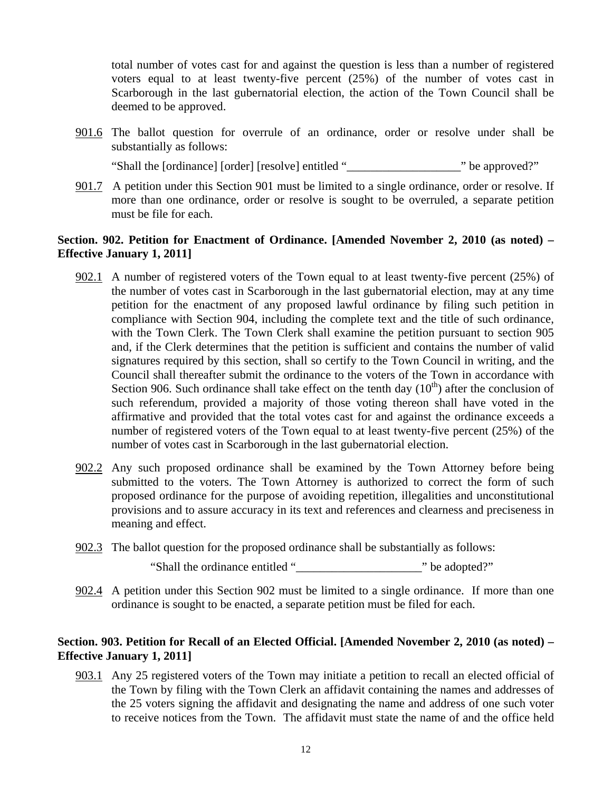total number of votes cast for and against the question is less than a number of registered voters equal to at least twenty-five percent (25%) of the number of votes cast in Scarborough in the last gubernatorial election, the action of the Town Council shall be deemed to be approved.

901.6 The ballot question for overrule of an ordinance, order or resolve under shall be substantially as follows:

"Shall the [ordinance] [order] [resolve] entitled "\_\_\_\_\_\_\_\_\_\_\_\_\_\_\_\_\_\_\_" be approved?"

901.7 A petition under this Section 901 must be limited to a single ordinance, order or resolve. If more than one ordinance, order or resolve is sought to be overruled, a separate petition must be file for each.

# **Section. 902. Petition for Enactment of Ordinance. [Amended November 2, 2010 (as noted) – Effective January 1, 2011]**

- 902.1 A number of registered voters of the Town equal to at least twenty-five percent (25%) of the number of votes cast in Scarborough in the last gubernatorial election, may at any time petition for the enactment of any proposed lawful ordinance by filing such petition in compliance with Section 904, including the complete text and the title of such ordinance, with the Town Clerk. The Town Clerk shall examine the petition pursuant to section 905 and, if the Clerk determines that the petition is sufficient and contains the number of valid signatures required by this section, shall so certify to the Town Council in writing, and the Council shall thereafter submit the ordinance to the voters of the Town in accordance with Section 906. Such ordinance shall take effect on the tenth day  $(10<sup>th</sup>)$  after the conclusion of such referendum, provided a majority of those voting thereon shall have voted in the affirmative and provided that the total votes cast for and against the ordinance exceeds a number of registered voters of the Town equal to at least twenty-five percent (25%) of the number of votes cast in Scarborough in the last gubernatorial election.
- 902.2 Any such proposed ordinance shall be examined by the Town Attorney before being submitted to the voters. The Town Attorney is authorized to correct the form of such proposed ordinance for the purpose of avoiding repetition, illegalities and unconstitutional provisions and to assure accuracy in its text and references and clearness and preciseness in meaning and effect.
- 902.3 The ballot question for the proposed ordinance shall be substantially as follows:

"Shall the ordinance entitled "\_\_\_\_\_\_\_\_\_\_\_\_\_\_\_\_\_\_\_\_\_" be adopted?"

902.4 A petition under this Section 902 must be limited to a single ordinance. If more than one ordinance is sought to be enacted, a separate petition must be filed for each.

# **Section. 903. Petition for Recall of an Elected Official. [Amended November 2, 2010 (as noted) – Effective January 1, 2011]**

903.1 Any 25 registered voters of the Town may initiate a petition to recall an elected official of the Town by filing with the Town Clerk an affidavit containing the names and addresses of the 25 voters signing the affidavit and designating the name and address of one such voter to receive notices from the Town. The affidavit must state the name of and the office held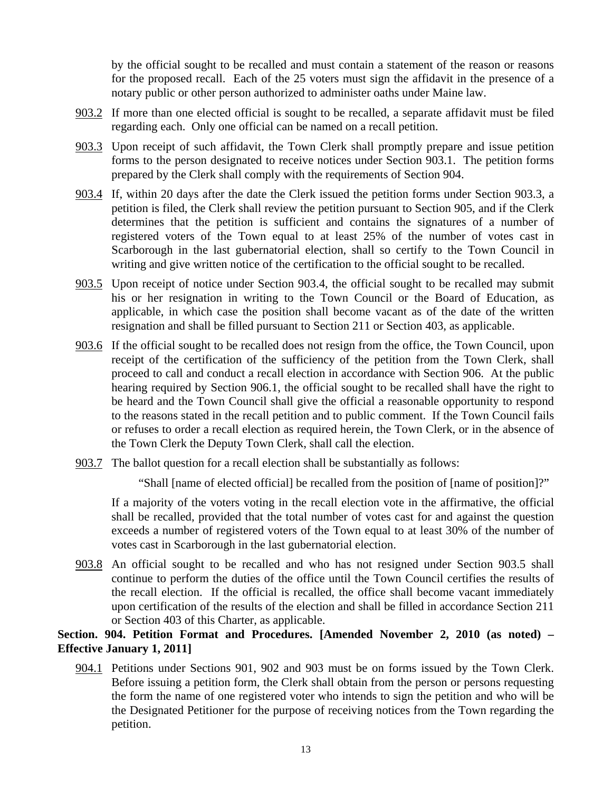by the official sought to be recalled and must contain a statement of the reason or reasons for the proposed recall. Each of the 25 voters must sign the affidavit in the presence of a notary public or other person authorized to administer oaths under Maine law.

- 903.2 If more than one elected official is sought to be recalled, a separate affidavit must be filed regarding each. Only one official can be named on a recall petition.
- 903.3 Upon receipt of such affidavit, the Town Clerk shall promptly prepare and issue petition forms to the person designated to receive notices under Section 903.1. The petition forms prepared by the Clerk shall comply with the requirements of Section 904.
- 903.4 If, within 20 days after the date the Clerk issued the petition forms under Section 903.3, a petition is filed, the Clerk shall review the petition pursuant to Section 905, and if the Clerk determines that the petition is sufficient and contains the signatures of a number of registered voters of the Town equal to at least 25% of the number of votes cast in Scarborough in the last gubernatorial election, shall so certify to the Town Council in writing and give written notice of the certification to the official sought to be recalled.
- 903.5 Upon receipt of notice under Section 903.4, the official sought to be recalled may submit his or her resignation in writing to the Town Council or the Board of Education, as applicable, in which case the position shall become vacant as of the date of the written resignation and shall be filled pursuant to Section 211 or Section 403, as applicable.
- 903.6 If the official sought to be recalled does not resign from the office, the Town Council, upon receipt of the certification of the sufficiency of the petition from the Town Clerk, shall proceed to call and conduct a recall election in accordance with Section 906. At the public hearing required by Section 906.1, the official sought to be recalled shall have the right to be heard and the Town Council shall give the official a reasonable opportunity to respond to the reasons stated in the recall petition and to public comment. If the Town Council fails or refuses to order a recall election as required herein, the Town Clerk, or in the absence of the Town Clerk the Deputy Town Clerk, shall call the election.
- 903.7 The ballot question for a recall election shall be substantially as follows:

"Shall [name of elected official] be recalled from the position of [name of position]?"

 If a majority of the voters voting in the recall election vote in the affirmative, the official shall be recalled, provided that the total number of votes cast for and against the question exceeds a number of registered voters of the Town equal to at least 30% of the number of votes cast in Scarborough in the last gubernatorial election.

903.8 An official sought to be recalled and who has not resigned under Section 903.5 shall continue to perform the duties of the office until the Town Council certifies the results of the recall election. If the official is recalled, the office shall become vacant immediately upon certification of the results of the election and shall be filled in accordance Section 211 or Section 403 of this Charter, as applicable.

# **Section. 904. Petition Format and Procedures. [Amended November 2, 2010 (as noted) – Effective January 1, 2011]**

904.1 Petitions under Sections 901, 902 and 903 must be on forms issued by the Town Clerk. Before issuing a petition form, the Clerk shall obtain from the person or persons requesting the form the name of one registered voter who intends to sign the petition and who will be the Designated Petitioner for the purpose of receiving notices from the Town regarding the petition.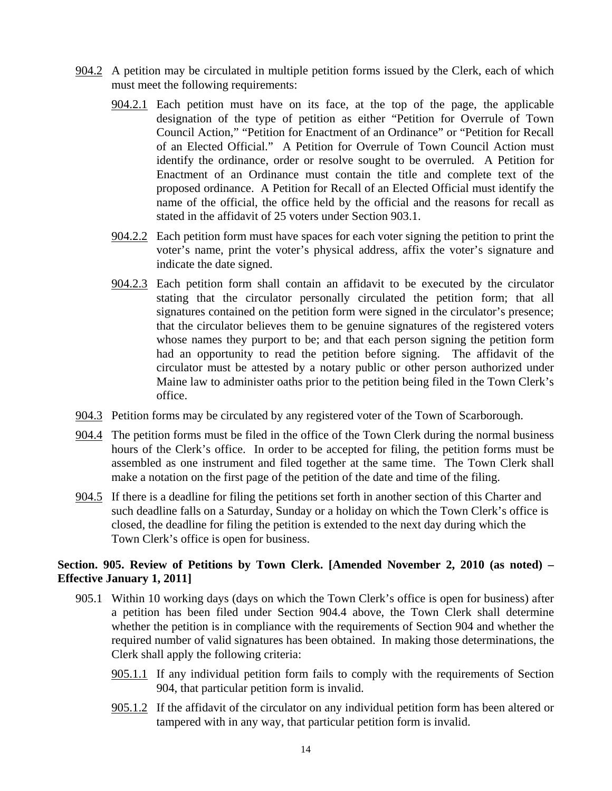- 904.2 A petition may be circulated in multiple petition forms issued by the Clerk, each of which must meet the following requirements:
	- 904.2.1 Each petition must have on its face, at the top of the page, the applicable designation of the type of petition as either "Petition for Overrule of Town Council Action," "Petition for Enactment of an Ordinance" or "Petition for Recall of an Elected Official." A Petition for Overrule of Town Council Action must identify the ordinance, order or resolve sought to be overruled. A Petition for Enactment of an Ordinance must contain the title and complete text of the proposed ordinance. A Petition for Recall of an Elected Official must identify the name of the official, the office held by the official and the reasons for recall as stated in the affidavit of 25 voters under Section 903.1.
	- 904.2.2 Each petition form must have spaces for each voter signing the petition to print the voter's name, print the voter's physical address, affix the voter's signature and indicate the date signed.
	- 904.2.3 Each petition form shall contain an affidavit to be executed by the circulator stating that the circulator personally circulated the petition form; that all signatures contained on the petition form were signed in the circulator's presence; that the circulator believes them to be genuine signatures of the registered voters whose names they purport to be; and that each person signing the petition form had an opportunity to read the petition before signing. The affidavit of the circulator must be attested by a notary public or other person authorized under Maine law to administer oaths prior to the petition being filed in the Town Clerk's office.
- 904.3 Petition forms may be circulated by any registered voter of the Town of Scarborough.
- 904.4 The petition forms must be filed in the office of the Town Clerk during the normal business hours of the Clerk's office. In order to be accepted for filing, the petition forms must be assembled as one instrument and filed together at the same time. The Town Clerk shall make a notation on the first page of the petition of the date and time of the filing.
- 904.5 If there is a deadline for filing the petitions set forth in another section of this Charter and such deadline falls on a Saturday, Sunday or a holiday on which the Town Clerk's office is closed, the deadline for filing the petition is extended to the next day during which the Town Clerk's office is open for business.

# **Section. 905. Review of Petitions by Town Clerk. [Amended November 2, 2010 (as noted) – Effective January 1, 2011]**

- 905.1 Within 10 working days (days on which the Town Clerk's office is open for business) after a petition has been filed under Section 904.4 above, the Town Clerk shall determine whether the petition is in compliance with the requirements of Section 904 and whether the required number of valid signatures has been obtained. In making those determinations, the Clerk shall apply the following criteria:
	- 905.1.1 If any individual petition form fails to comply with the requirements of Section 904, that particular petition form is invalid.
	- 905.1.2 If the affidavit of the circulator on any individual petition form has been altered or tampered with in any way, that particular petition form is invalid.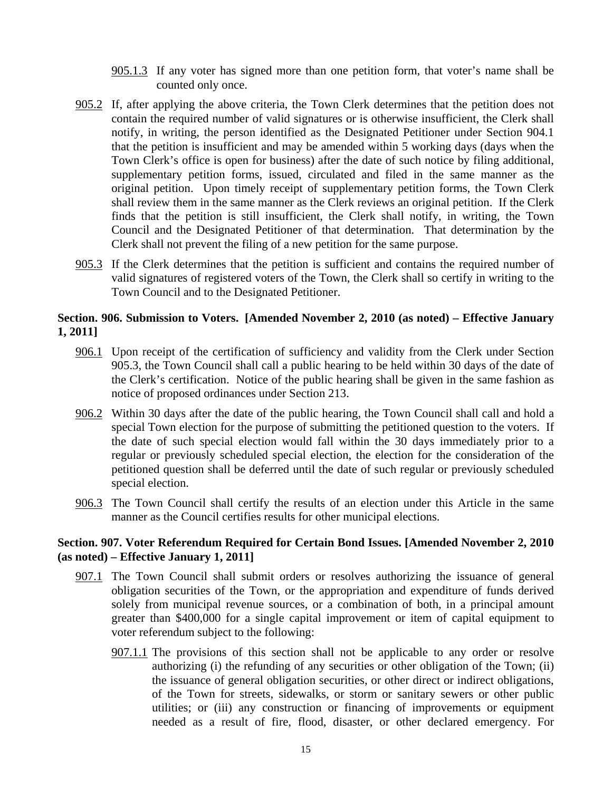- 905.1.3 If any voter has signed more than one petition form, that voter's name shall be counted only once.
- 905.2 If, after applying the above criteria, the Town Clerk determines that the petition does not contain the required number of valid signatures or is otherwise insufficient, the Clerk shall notify, in writing, the person identified as the Designated Petitioner under Section 904.1 that the petition is insufficient and may be amended within 5 working days (days when the Town Clerk's office is open for business) after the date of such notice by filing additional, supplementary petition forms, issued, circulated and filed in the same manner as the original petition. Upon timely receipt of supplementary petition forms, the Town Clerk shall review them in the same manner as the Clerk reviews an original petition. If the Clerk finds that the petition is still insufficient, the Clerk shall notify, in writing, the Town Council and the Designated Petitioner of that determination. That determination by the Clerk shall not prevent the filing of a new petition for the same purpose.
- 905.3 If the Clerk determines that the petition is sufficient and contains the required number of valid signatures of registered voters of the Town, the Clerk shall so certify in writing to the Town Council and to the Designated Petitioner.

### **Section. 906. Submission to Voters. [Amended November 2, 2010 (as noted) – Effective January 1, 2011]**

- 906.1 Upon receipt of the certification of sufficiency and validity from the Clerk under Section 905.3, the Town Council shall call a public hearing to be held within 30 days of the date of the Clerk's certification. Notice of the public hearing shall be given in the same fashion as notice of proposed ordinances under Section 213.
- 906.2 Within 30 days after the date of the public hearing, the Town Council shall call and hold a special Town election for the purpose of submitting the petitioned question to the voters. If the date of such special election would fall within the 30 days immediately prior to a regular or previously scheduled special election, the election for the consideration of the petitioned question shall be deferred until the date of such regular or previously scheduled special election.
- 906.3 The Town Council shall certify the results of an election under this Article in the same manner as the Council certifies results for other municipal elections.

#### **Section. 907. Voter Referendum Required for Certain Bond Issues. [Amended November 2, 2010 (as noted) – Effective January 1, 2011]**

- 907.1 The Town Council shall submit orders or resolves authorizing the issuance of general obligation securities of the Town, or the appropriation and expenditure of funds derived solely from municipal revenue sources, or a combination of both, in a principal amount greater than \$400,000 for a single capital improvement or item of capital equipment to voter referendum subject to the following:
	- 907.1.1 The provisions of this section shall not be applicable to any order or resolve authorizing (i) the refunding of any securities or other obligation of the Town; (ii) the issuance of general obligation securities, or other direct or indirect obligations, of the Town for streets, sidewalks, or storm or sanitary sewers or other public utilities; or (iii) any construction or financing of improvements or equipment needed as a result of fire, flood, disaster, or other declared emergency. For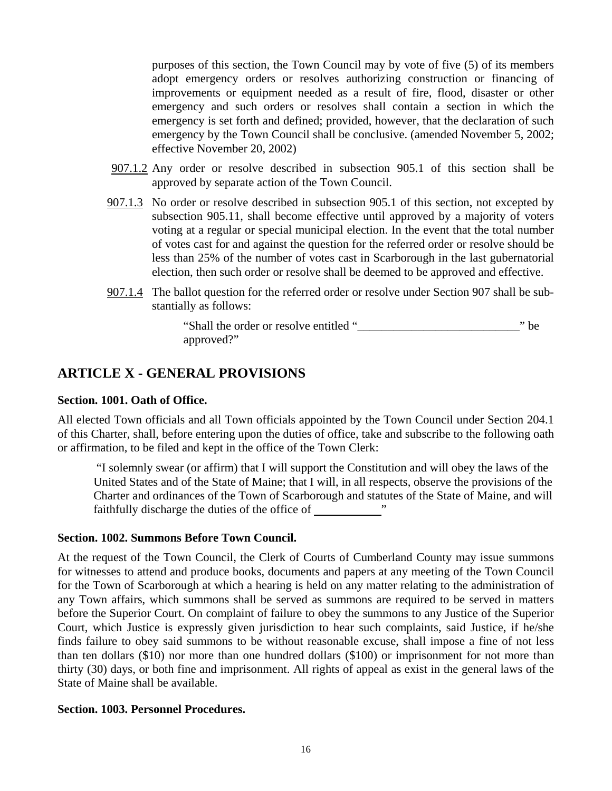purposes of this section, the Town Council may by vote of five (5) of its members adopt emergency orders or resolves authorizing construction or financing of improvements or equipment needed as a result of fire, flood, disaster or other emergency and such orders or resolves shall contain a section in which the emergency is set forth and defined; provided, however, that the declaration of such emergency by the Town Council shall be conclusive. (amended November 5, 2002; effective November 20, 2002)

- 907.1.2 Any order or resolve described in subsection 905.1 of this section shall be approved by separate action of the Town Council.
- 907.1.3 No order or resolve described in subsection 905.1 of this section, not excepted by subsection 905.11, shall become effective until approved by a majority of voters voting at a regular or special municipal election. In the event that the total number of votes cast for and against the question for the referred order or resolve should be less than 25% of the number of votes cast in Scarborough in the last gubernatorial election, then such order or resolve shall be deemed to be approved and effective.
- 907.1.4 The ballot question for the referred order or resolve under Section 907 shall be substantially as follows:

 "Shall the order or resolve entitled "\_\_\_\_\_\_\_\_\_\_\_\_\_\_\_\_\_\_\_\_\_\_\_\_\_\_\_" be approved?"

# **ARTICLE X - GENERAL PROVISIONS**

#### **Section. 1001. Oath of Office.**

All elected Town officials and all Town officials appointed by the Town Council under Section 204.1 of this Charter, shall, before entering upon the duties of office, take and subscribe to the following oath or affirmation, to be filed and kept in the office of the Town Clerk:

 "I solemnly swear (or affirm) that I will support the Constitution and will obey the laws of the United States and of the State of Maine; that I will, in all respects, observe the provisions of the Charter and ordinances of the Town of Scarborough and statutes of the State of Maine, and will faithfully discharge the duties of the office of "

#### **Section. 1002. Summons Before Town Council.**

At the request of the Town Council, the Clerk of Courts of Cumberland County may issue summons for witnesses to attend and produce books, documents and papers at any meeting of the Town Council for the Town of Scarborough at which a hearing is held on any matter relating to the administration of any Town affairs, which summons shall be served as summons are required to be served in matters before the Superior Court. On complaint of failure to obey the summons to any Justice of the Superior Court, which Justice is expressly given jurisdiction to hear such complaints, said Justice, if he/she finds failure to obey said summons to be without reasonable excuse, shall impose a fine of not less than ten dollars (\$10) nor more than one hundred dollars (\$100) or imprisonment for not more than thirty (30) days, or both fine and imprisonment. All rights of appeal as exist in the general laws of the State of Maine shall be available.

#### **Section. 1003. Personnel Procedures.**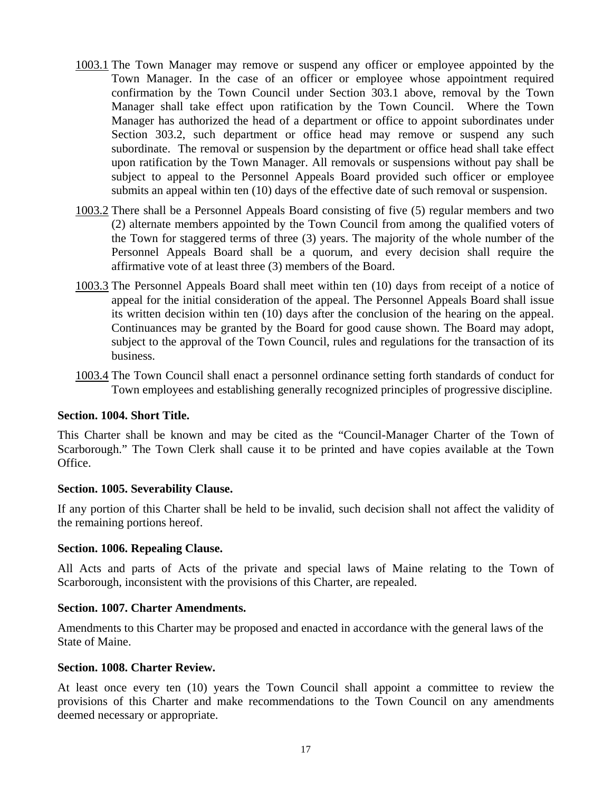- 1003.1 The Town Manager may remove or suspend any officer or employee appointed by the Town Manager. In the case of an officer or employee whose appointment required confirmation by the Town Council under Section 303.1 above, removal by the Town Manager shall take effect upon ratification by the Town Council. Where the Town Manager has authorized the head of a department or office to appoint subordinates under Section 303.2, such department or office head may remove or suspend any such subordinate. The removal or suspension by the department or office head shall take effect upon ratification by the Town Manager. All removals or suspensions without pay shall be subject to appeal to the Personnel Appeals Board provided such officer or employee submits an appeal within ten (10) days of the effective date of such removal or suspension.
- 1003.2 There shall be a Personnel Appeals Board consisting of five (5) regular members and two (2) alternate members appointed by the Town Council from among the qualified voters of the Town for staggered terms of three (3) years. The majority of the whole number of the Personnel Appeals Board shall be a quorum, and every decision shall require the affirmative vote of at least three (3) members of the Board.
- 1003.3 The Personnel Appeals Board shall meet within ten (10) days from receipt of a notice of appeal for the initial consideration of the appeal. The Personnel Appeals Board shall issue its written decision within ten (10) days after the conclusion of the hearing on the appeal. Continuances may be granted by the Board for good cause shown. The Board may adopt, subject to the approval of the Town Council, rules and regulations for the transaction of its business.
- 1003.4 The Town Council shall enact a personnel ordinance setting forth standards of conduct for Town employees and establishing generally recognized principles of progressive discipline.

#### **Section. 1004. Short Title.**

This Charter shall be known and may be cited as the "Council-Manager Charter of the Town of Scarborough." The Town Clerk shall cause it to be printed and have copies available at the Town Office.

#### **Section. 1005. Severability Clause.**

If any portion of this Charter shall be held to be invalid, such decision shall not affect the validity of the remaining portions hereof.

#### **Section. 1006. Repealing Clause.**

All Acts and parts of Acts of the private and special laws of Maine relating to the Town of Scarborough, inconsistent with the provisions of this Charter, are repealed.

#### **Section. 1007. Charter Amendments.**

Amendments to this Charter may be proposed and enacted in accordance with the general laws of the State of Maine.

#### **Section. 1008. Charter Review.**

At least once every ten (10) years the Town Council shall appoint a committee to review the provisions of this Charter and make recommendations to the Town Council on any amendments deemed necessary or appropriate.